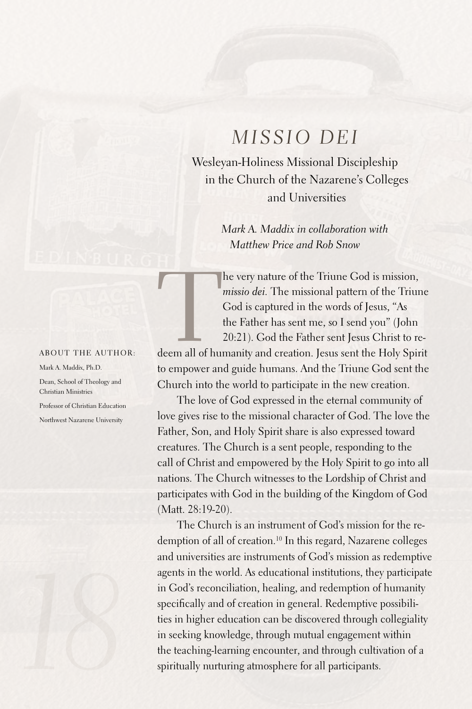## *Missio Dei*

Wesleyan-Holiness Missional Discipleship in the Church of the Nazarene's Colleges and Universities

> *Mark A. Maddix in collaboration with Matthew Price and Rob Snow*

he very nature of the Triune God is mission,<br>
missio dei. The missional pattern of the Triune<br>
God is captured in the words of Jesus, "As<br>
the Father has sent me, so I send you" (John<br>
20:21). God the Father sent Jesus Chr *missio dei.* The missional pattern of the Triune God is captured in the words of Jesus, "As the Father has sent me, so I send you" (John 20:21). God the Father sent Jesus Christ to re-

About the author:

Mark A. Maddix, Ph.D. Dean, School of Theology and Christian Ministries Professor of Christian Education

Northwest Nazarene University



to empower and guide humans.And the Triune God sent the Church into the world to participate in the new creation.

The love of God expressed in the eternal community of love gives rise to the missional character of God. The love the Father, Son, and Holy Spirit share is also expressed toward creatures. The Church is a sent people, responding to the call of Christ and empowered by the Holy Spirit to go into all nations. The Church witnesses to the Lordship of Christ and participates with God in the building of the Kingdom of God (Matt. 28:19-20).

The Church is an instrument of God's mission for the redemption of all of creation. 10 In this regard, Nazarene colleges and universities are instruments of God's mission as redemptive agents in the world. As educational institutions, they participate in God's reconciliation, healing, and redemption of humanity specifically and of creation in general. Redemptive possibilities in higher education can be discovered through collegiality in seeking knowledge, through mutual engagement within the teaching-learning encounter, and through cultivation of a spiritually nurturing atmosphere for all participants.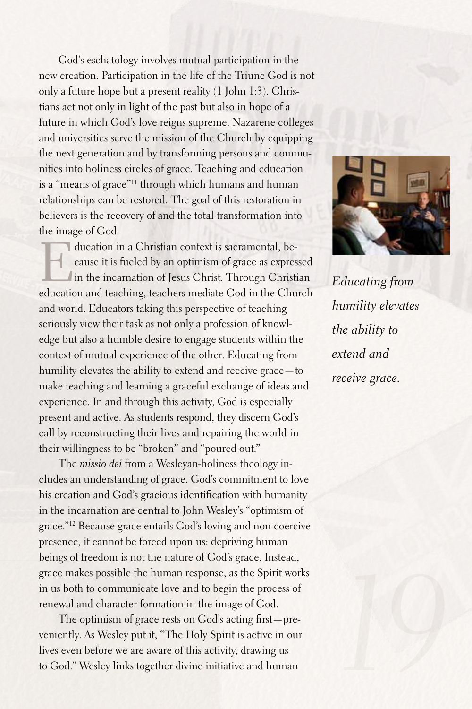God's eschatology involves mutual participation in the new creation. Participation in the life of the Triune God is not only a future hope but a present reality (1 John 1:3). Christians act not only in light of the past but also in hope of a future in which God's love reigns supreme. Nazarene colleges and universities serve the mission of the Church by equipping the next generation and by transforming persons and communities into holiness circles of grace. Teaching and education is a "means of grace"11 through which humans and human relationships can be restored. The goal of this restoration in believers is the recovery of and the total transformation into the image of God.

ducation in a Christian context is sacramental, be-<br>
cause it is fueled by an optimism of grace as expres<br>
in the incarnation of Jesus Christ. Through Christ<br>
causation and teaching teachers modiate Cod in the Chu cause it is fueled by an optimism of grace as expressed In the incarnation of Jesus Christ. Through Christian education and teaching, teachers mediate God in the Church and world. Educators taking this perspective of teaching seriously view their task as not only a profession of knowledge but also a humble desire to engage students within the context of mutual experience of the other. Educating from humility elevates the ability to extend and receive grace—to make teaching and learning a graceful exchange of ideas and experience. In and through this activity, God is especially present and active. As students respond, they discern God's call by reconstructing their lives and repairing the world in their willingness to be "broken" and "poured out."

The *missio dei* from a Wesleyan-holiness theology includes an understanding of grace. God's commitment to love his creation and God's gracious identification with humanity in the incarnation are central to John Wesley's "optimism of grace."12 Because grace entails God's loving and non-coercive presence, it cannot be forced upon us: depriving human beings of freedom is not the nature of God's grace. Instead, grace makes possible the human response, as the Spirit works in us both to communicate love and to begin the process of renewal and character formation in the image of God.

The optimism of grace rests on God's acting first—preveniently.As Wesley put it, "The Holy Spirit is active in our lives even before we are aware of this activity, drawing us to God." Wesley links together divine initiative and human



*Educating from humility elevates the ability to extend and receive grace.*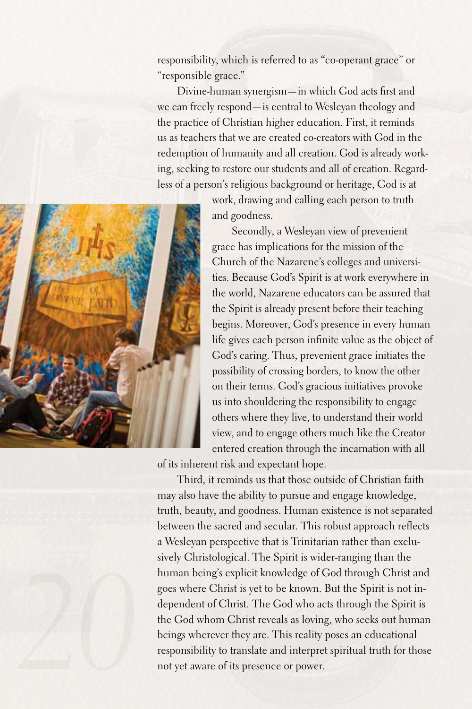responsibility, which is referred to as "co-operant grace" or "responsible grace."

Divine-human synergism—in which God acts first and we can freely respond—is central to Wesleyan theology and the practice of Christian higher education. First, it reminds us as teachers that we are created co-creators with God in the redemption of humanity and all creation. God is already working, seeking to restore our students and all of creation. Regardless of a person's religious background or heritage, God is at



work, drawing and calling each person to truth and goodness.

Secondly, a Wesleyan view of prevenient grace has implications for the mission of the Church of the Nazarene's colleges and universities.Because God's Spirit is at work everywhere in the world, Nazarene educators can be assured that the Spirit is already present before their teaching begins. Moreover, God's presence in every human life gives each person infinite value as the object of God's caring. Thus, prevenient grace initiates the possibility of crossing borders, to know the other on their terms. God's gracious initiatives provoke us into shouldering the responsibility to engage others where they live, to understand their world view, and to engage others much like the Creator entered creation through the incarnation with all

of its inherent risk and expectant hope.

Third, it reminds us that those outside of Christian faith may also have the ability to pursue and engage knowledge, truth, beauty, and goodness. Human existence is not separated between the sacred and secular. This robust approach reflects a Wesleyan perspective that is Trinitarian rather than exclusively Christological. The Spirit is wider-ranging than the human being's explicit knowledge of God through Christ and goes where Christ is yet to be known. But the Spirit is not independent of Christ. The God who acts through the Spirit is the God whom Christ reveals as loving, who seeks out human beings wherever they are. This reality poses an educational responsibility to translate and interpret spiritual truth for those not yet aware of its presence or power.